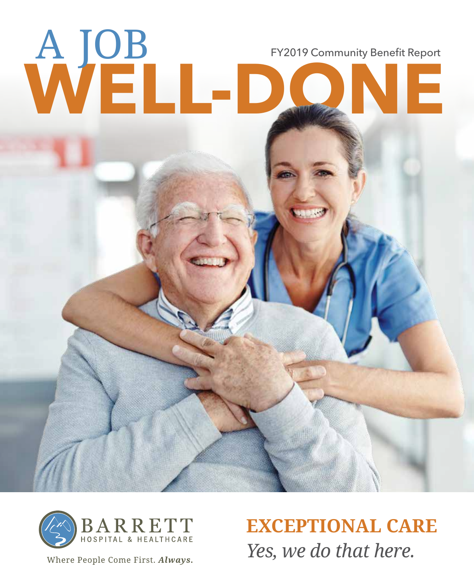



Where People Come First. Always.

*Yes, we do that here.* **EXCEPTIONAL CARE**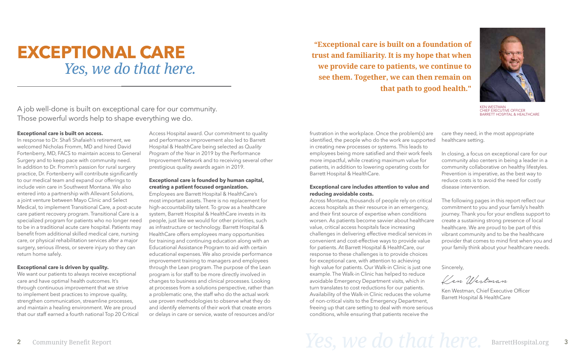#### **Exceptional care is built on access.**

In response to Dr. Shafi Shafaieh's retirement, we welcomed Nicholas Fromm, MD and hired David Fortenberry, MD, FACS to maintain access to General Surgery and to keep pace with community need. In addition to Dr. Fromm's passion for rural surgery practice, Dr. Fortenberry will contribute significantly to our medical team and expand our offerings to include vein care in Southwest Montana. We also entered into a partnership with Allevant Solutions, a joint venture between Mayo Clinic and Select Medical, to implement Transitional Care, a post-acute care patient recovery program. Transitional Care is a specialized program for patients who no longer need to be in a traditional acute care hospital. Patients may benefit from additional skilled medical care, nursing care, or physical rehabilitation services after a major surgery, serious illness, or severe injury so they can return home safely.

#### **Exceptional care is driven by quality.**

We want our patients to always receive exceptional care and have optimal health outcomes. It's through continuous improvement that we strive to implement best practices to improve quality, strengthen communication, streamline processes, and maintain a healing environment. We are proud that our staff earned a fourth national Top 20 Critical Access Hospital award. Our commitment to quality and performance improvement also led to Barrett Hospital & HealthCare being selected as *Quality Program of the Year* in 2019 by the Performance Improvement Network and to receiving several other prestigious quality awards again in 2019.

#### **Exceptional care is founded by human capital, creating a patient focused organization.**

Employees are Barrett Hospital & HealthCare's most important assets. There is no replacement for high-accountability talent. To grow as a healthcare system, Barrett Hospital & HealthCare invests in its people, just like we would for other priorities, such as infrastructure or technology. Barrett Hospital & HealthCare offers employees many opportunities for training and continuing education along with an Educational Assistance Program to aid with certain educational expenses. We also provide performance improvement training to managers and employees through the Lean program. The purpose of the Lean program is for staff to be more directly involved in changes to business and clinical processes. Looking at processes from a solutions perspective, rather than a problematic one, the staff who do the actual work use proven methodologies to observe what they do and identify elements of their work that create errors or delays in care or service, waste of resources and/or

**"Exceptional care is built on a foundation of trust and familiarity. It is my hope that when we provide care to patients, we continue to see them. Together, we can then remain on that path to good health."**

frustration in the workplace. Once the problem(s) are identified, the people who do the work are supporte in creating new processes or systems. This leads to employees being more satisfied and their work feels more impactful, while creating maximum value for patients, in addition to lowering operating costs for Barrett Hospital & HealthCare.

#### **Exceptional care includes attention to value and reducing avoidable costs.**

Across Montana, thousands of people rely on critical access hospitals as their resource in an emergency, and their first source of expertise when conditions worsen. As patients become savvier about healthcare value, critical access hospitals face increasing challenges in delivering effective medical services in convenient and cost-effective ways to provide value for patients. At Barrett Hospital & HealthCare, our response to these challenges is to provide choices for exceptional care, with attention to achieving high value for patients. Our Walk-in Clinic is just one example. The Walk-in Clinic has helped to reduce avoidable Emergency Department visits, which in turn translates to cost reductions for our patients. Availability of the Walk-in Clinic reduces the volume of non-critical visits to the Emergency Department, freeing up that care setting to deal with more serious conditions, while ensuring that patients receive the

# 2 Community Benefit Report  $\mathcal{L}(\mathcal{L})$  arrettHospital.org 3

| e | care they need, in the most appropriate |
|---|-----------------------------------------|
|   | ed healthcare setting.                  |

- In closing, a focus on exceptional care for our community also centers in being a leader in a community collaborative on healthy lifestyles. Prevention is imperative, as the best way to reduce costs is to avoid the need for costly disease intervention.
- The following pages in this report reflect our commitment to you and your family's health journey. Thank you for your endless support to create a sustaining strong presence of local healthcare. We are proud to be part of this vibrant community and to be the healthcare provider that comes to mind first when you and your family think about your healthcare needs.
- Sincerely,

Ken Westman

Ken Westman, Chief Executive Officer Barrett Hospital & HealthCare

### **EXCEPTIONAL CARE** *Yes, we do that here.*

A job well-done is built on exceptional care for our community. Those powerful words help to shape everything we do.



KEN WESTMAN CHIEF EXECUTIVE OFFICER BARRETT HOSPITAL & HEALTHCARE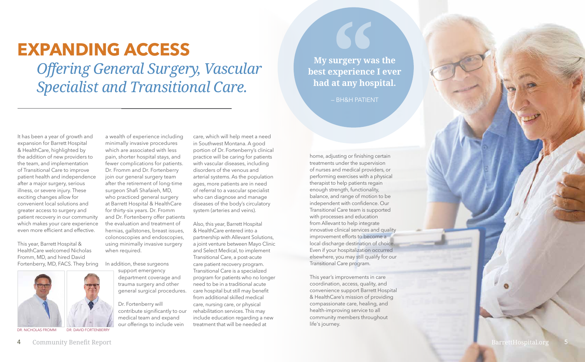It has been a year of growth and expansion for Barrett Hospital & HealthCare, highlighted by the addition of new providers to the team, and implementation of Transitional Care to improve patient health and independence after a major surgery, serious illness, or severe injury. These exciting changes allow for convenient local solutions and greater access to surgery and patient recovery in our community which makes your care experience even more efficient and effective.

This year, Barrett Hospital & HealthCare welcomed Nicholas Fromm, MD, and hired David Fortenberry, MD, FACS. They bring



DR. NICHOLAS FROMM DR. DAVID FORTENBERRY

a wealth of experience including minimally invasive procedures which are associated with less pain, shorter hospital stays, and fewer complications for patients. Dr. Fromm and Dr. Fortenberry join our general surgery team after the retirement of long-time surgeon Shafi Shafaieh, MD, who practiced general surgery at Barrett Hospital & HealthCare for thirty-six years. Dr. Fromm and Dr. Fortenberry offer patients the evaluation and treatment of hernias, gallstones, breast issues, colonoscopies and endoscopies, using minimally invasive surgery when required.

In addition, these surgeons

support emergency department coverage and trauma surgery and other general surgical procedures.

Dr. Fortenberry will contribute significantly to our medical team and expand our offerings to include vein

care, which will help meet a need in Southwest Montana. A good portion of Dr. Fortenberry's clinical practice will be caring for patients with vascular diseases, including disorders of the venous and arterial systems. As the population ages, more patients are in need of referral to a vascular specialist who can diagnose and manage diseases of the body's circulatory system (arteries and veins).

Also, this year, Barrett Hospital & HealthCare entered into a partnership with Allevant Solutions, a joint venture between Mayo Clinic and Select Medical, to implement Transitional Care, a post-acute care patient recovery program. Transitional Care is a specialized program for patients who no longer need to be in a traditional acute care hospital but still may benefit from additional skilled medical care, nursing care, or physical rehabilitation services. This may include education regarding a new treatment that will be needed at

### **EXPANDING ACCESS**

home, adjusting or finishing certain treatments under the supervision of nurses and medical providers, or performing exercises with a physical therapist to help patients regain enough strength, functionality, balance, and range of motion to be independent with confidence. Our Transitional Care team is supported with processes and education from Allevant to help integrate innovative clinical services and quality improvement efforts to become a local discharge destination of choice. Even if your hospitalization occurred elsewhere, you may still qualify for our Transitional Care program.

This year's improvements in care coordination, access, quality, and convenience support Barrett Hospital & HealthCare's mission of providing compassionate care, healing, and health-improving service to all community members throughout life's journey.

4 Community Benefit Report **BarrettHospital.org** 

**My surgery was the best experience I ever had at any hospital.** 

— BH&H PATIENT

*Offering General Surgery, Vascular Specialist and Transitional Care.*

5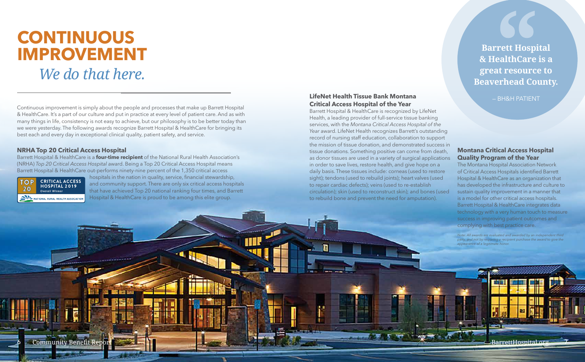*Note: All awards are evaluated and awarded by an independent third party, and not by requiring a recipient purchase the award to give the appearance of a legitimate honor.*

Continuous improvement is simply about the people and processes that make up Barrett Hospital & HealthCare. It's a part of our culture and put in practice at every level of patient care. And as with many things in life, consistency is not easy to achieve, but our philosophy is to be better today than we were yesterday. The following awards recognize Barrett Hospital & HealthCare for bringing its best each and every day in exceptional clinical quality, patient safety, and service.

# **CONTINUOUS IMPROVEMENT**

### *We do that here.*

**Barrett Hospital & HealthCare is a great resource to Beaverhead County.** 

#### — BH&H PATIENT **LifeNet Health Tissue Bank Montana Critical Access Hospital of the Year**

Barrett Hospital & HealthCare is recognized by LifeNet Health, a leading provider of full-service tissue banking services, with the *Montana Critical Access Hospital of the Year* award. LifeNet Health recognizes Barrett's outstanding record of nursing staff education, collaboration to support the mission of tissue donation, and demonstrated success in tissue donations. Something positive can come from death, as donor tissues are used in a variety of surgical applications in order to save lives, restore health, and give hope on a daily basis. These tissues include: corneas (used to restore sight); tendons (used to rebuild joints); heart valves (used to repair cardiac defects); veins (used to re-establish circulation); skin (used to reconstruct skin); and bones (used to rebuild bone and prevent the need for amputation).

#### **Montana Critical Access Hospital Quality Program of the Year**

The Montana Hospital Association Network of Critical Access Hospitals identified Barrett Hospital & HealthCare as an organization that has developed the infrastructure and culture to sustain quality improvement in a manner that is a model for other critical access hospitals. Barrett Hospital & HealthCare integrates data technology with a very human touch to measure success in improving patient outcomes and complying with best practice care.

#### **NRHA Top 20 Critical Access Hospital**

Barrett Hospital & HealthCare is a **four-time recipient** of the National Rural Health Association's (NRHA) *Top 20 Critical Access Hospital* award. Being a Top 20 Critical Access Hospital means Barrett Hospital & HealthCare out-performs ninety-nine percent of the 1,350 critical access



hospitals in the nation in quality, service, financial stewardship, and community support. There are only six critical access hospitals that have achieved Top 20 national ranking four times, and Barrett Hospital & HealthCare is proud to be among this elite group.

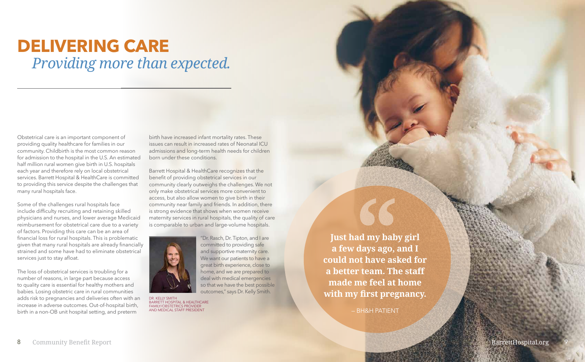### **DELIVERING CARE** *Providing more than expected.*

**Just had my baby girl a few days ago, and I could not have asked for a better team. The staff made me feel at home with my first pregnancy.** 

— BH&H PATIENT

Obstetrical care is an important component of providing quality healthcare for families in our community. Childbirth is the most common reason for admission to the hospital in the U.S. An estimated half million rural women give birth in U.S. hospitals each year and therefore rely on local obstetrical services. Barrett Hospital & HealthCare is committed to providing this service despite the challenges that many rural hospitals face.

Some of the challenges rural hospitals face include difficulty recruiting and retaining skilled physicians and nurses, and lower average Medicaid reimbursement for obstetrical care due to a variety of factors. Providing this care can be an area of financial loss for rural hospitals. This is problematic given that many rural hospitals are already financially strained and some have had to eliminate obstetrical services just to stay afloat.

The loss of obstetrical services is troubling for a number of reasons, in large part because access to quality care is essential for healthy mothers and babies. Losing obstetric care in rural communities adds risk to pregnancies and deliveries often with an increase in adverse outcomes. Out-of-hospital birth, birth in a non-OB unit hospital setting, and preterm

birth have increased infant mortality rates. These issues can result in increased rates of Neonatal ICU admissions and long-term health needs for children born under these conditions.

Barrett Hospital & HealthCare recognizes that the benefit of providing obstetrical services in our community clearly outweighs the challenges. We not only make obstetrical services more convenient to access, but also allow women to give birth in their community near family and friends. In addition, there is strong evidence that shows when women receive maternity services in rural hospitals, the quality of care is comparable to urban and large-volume hospitals.

> "Dr. Rasch, Dr. Tipton, and I are committed to providing safe and supportive maternity care. We want our patients to have a great birth experience, close to home, and we are prepared to deal with medical emergencies so that we have the best possible outcomes," says Dr. Kelly Smith.



DR. KELLY SMITH BARRETT HOSPITAL & HEALTHCARE FAMILY/OBSTETRICS PROVIDER AND MEDICAL STAFF PRESIDENT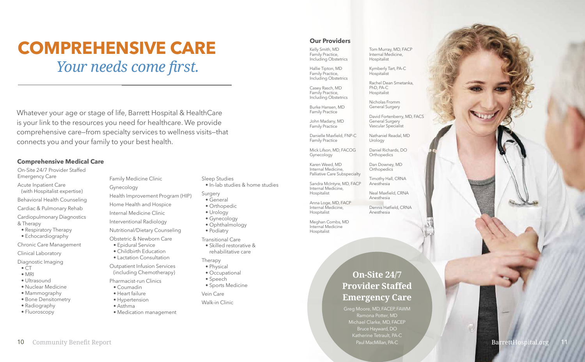On-Site 24/7 Provider Staffed

- Emergency Care Acute Inpatient Care (with Hospitalist expertise)
- Behavioral Health Counseling
- Cardiac & Pulmonary Rehab
- Cardiopulmonary Diagnostics & Therapy
- Respiratory Therapy
- Echocardiography

- $\bullet$  CT
- MRI
- Ultrasound
- Nuclear Medicine
- Mammography
- Bone Densitometry
- Radiography
- Fluoroscopy

Chronic Care Management

Clinical Laboratory

Diagnostic Imaging

Family Medicine Clinic

Gynecology

Health Improvement Program (HIP)

Home Health and Hospice

Internal Medicine Clinic

Interventional Radiology

Nutritional/Dietary Counseling

Obstetric & Newborn Care

- Epidural Service
- Childbirth Education
- Lactation Consultation

John Madany, MD Family Practice

Outpatient Infusion Services (including Chemotherapy)

Pharmacist-run Clinics

- Coumadin
- Heart failure
- Hypertension
- Asthma
	- Medication management

Sleep Studies

• In-lab studies & home studies

#### Surgery

- General
- Orthopedic
- Urology
- Gynecology
- Ophthalmology
- Podiatry

Transitional Care

Daniel Richards, DO **Orthopedics** 

Dan Downey, MD **Orthopedics** 

• Skilled restorative & rehabilitative care

#### Therapy

- Physical
- Occupational
- Speech
- Sports Medicine

Vein Care

Walk-in Clinic

#### **Comprehensive Medical Care**

Kelly Smith, MD Family Practice, Including Obstetrics

### **COMPREHENSIVE CARE** Our Providers *Your needs come first.*

Hallie Tipton, MD Family Practice, Including Obstetrics

Casey Rasch, MD Family Practice, Including Obstetrics

Burke Hansen, MD Family Practice

Danielle Maxfield, FNP-C Family Practice

Mick Lifson, MD, FACOG Gynecology

Karen Weed, MD Internal Medicine, Palliative Care Subspecialty

Sandra McIntyre, MD, FACP Internal Medicine, Hospitalist

Anna Loge, MD, FACP Internal Medicine, Hospitalist

Meghan Combs, MD Internal Medicine Hospitalist

Tom Murray, MD, FACP Internal Medicine, Hospitalist

Kymberly Tart, PA-C Hospitalist

Rachel Dean Smetanka, PhD, PA-C Hospitalist

Nicholas Fromm General Surgery

David Fortenberry, MD, FACS General Surgery Vascular Specialist

Nathaniel Readal, MD Urology

Timothy Hall, CRNA Anesthesia

Neal Maxfield, CRNA Anesthesia

Dennis Hatfield, CRNA Anesthesia

Whatever your age or stage of life, Barrett Hospital & HealthCare is your link to the resources you need for healthcare. We provide comprehensive care—from specialty services to wellness visits—that connects you and your family to your best health.

> Greg Moore, MD, FACEP, FAWM Ramona Potter, MD Michael Clarke, MD, FACEP Bruce Hayward, DO Katherine Tetrault, PA-C Paul MacMillan, PA-C

U

**On-Site 24/7 Provider Staffed Emergency Care**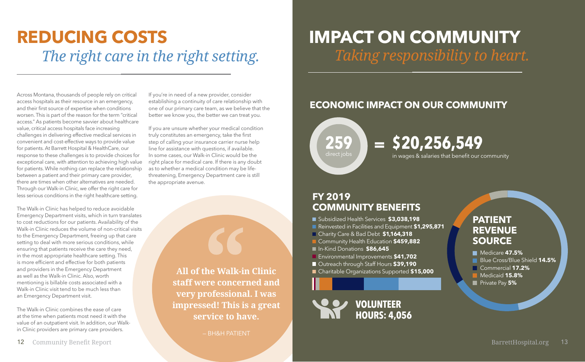**All of the Walk-in Clinic staff were concerned and very professional. I was impressed! This is a great service to have.**

— BH&H PATIENT

Across Montana, thousands of people rely on critical access hospitals as their resource in an emergency, and their first source of expertise when conditions worsen. This is part of the reason for the term "critical access." As patients become savvier about healthcare value, critical access hospitals face increasing challenges in delivering effective medical services in convenient and cost-effective ways to provide value for patients. At Barrett Hospital & HealthCare, our response to these challenges is to provide choices for exceptional care, with attention to achieving high value for patients. While nothing can replace the relationship between a patient and their primary care provider, there are times when other alternatives are needed. Through our Walk-in Clinic, we offer the right care for less serious conditions in the right healthcare setting.

The Walk-in Clinic has helped to reduce avoidable Emergency Department visits, which in turn translates to cost reductions for our patients. Availability of the Walk-in Clinic reduces the volume of non-critical visits to the Emergency Department, freeing up that care setting to deal with more serious conditions, while ensuring that patients receive the care they need, in the most appropriate healthcare setting. This is more efficient and effective for both patients and providers in the Emergency Department as well as the Walk-in Clinic. Also, worth mentioning is billable costs associated with a Walk-in Clinic visit tend to be much less than an Emergency Department visit.

The Walk-in Clinic combines the ease of care at the time when patients most need it with the value of an outpatient visit. In addition, our Walkin Clinic providers are primary care providers.

If you're in need of a new provider, consider establishing a continuity of care relationship with one of our primary care team, as we believe that the better we know you, the better we can treat you.

If you are unsure whether your medical condition truly constitutes an emergency, take the first step of calling your insurance carrier nurse help line for assistance with questions, if available. In some cases, our Walk-in Clinic would be the right place for medical care. If there is any doubt as to whether a medical condition may be lifethreatening, Emergency Department care is still the appropriate avenue.

## **REDUCING COSTS** *The right care in the right setting.*

**259** direct jobs

#### **PATIENT REVENUE SOURCE**

- Medicare **47.5%**
- **Blue Cross/Blue Shield 14.5%**
- Commercial **17.2%**
- Medicaid **15.8%**
- **Private Pay 5%**

in wages & salaries that benefit our community





#### **FY 2019 COMMUNITY BENEFITS**

## **\$20,256,549 =**

- Subsidized Health Services **\$3,038,198**
- Reinvested in Facilities and Equipment \$1,295,871
- Charity Care & Bad Debt **\$1,164,318**
- **L** Community Health Education \$459,882
- In-Kind Donations **\$86,645**
- **E** Environmental Improvements \$41,702
- Outreach through Staff Hours **\$39,190**
- Charitable Organizations Supported **\$15,000**

#### **ECONOMIC IMPACT ON OUR COMMUNITY**

## **IMPACT ON COMMUNITY** *Taking responsibility to heart.*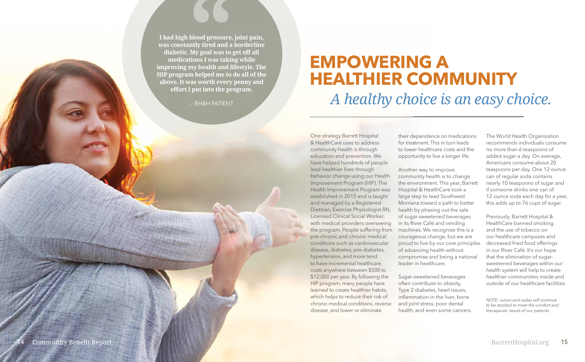One strategy Barrett Hospital & HealthCare uses to address community health is through education and prevention. We have helped hundreds of people lead healthier lives through behavior change using our Health Improvement Program (HIP). The Health Improvement Program was established in 2015 and is taught and managed by a Registered Dietitian, Exercise Physiologist RN, Licensed Clinical Social Worker, with medical providers overseeing the program. People suffering from pre-chronic and chronic medical conditions such as cardiovascular disease, diabetes, pre-diabetes, hypertension, and more tend to have incremental healthcare costs anywhere between \$500 to \$12,000 per year. By following the HIP program, many people have learned to create healthier habits, which helps to reduce their risk of chronic medical conditions, reverse disease, and lower or eliminate

their dependence on medications for treatment. This in turn leads to lower healthcare costs and the opportunity to live a longer life.

Another way to improve community health is to change the environment. This year, Barrett Hospital & HealthCare took a large step to lead Southwest Montana toward a path to better health by phasing out the sale of sugar-sweetened beverages in its River Café and vending machines. We recognize this is a courageous change, but we are proud to live by our core principles of advancing health without compromise and being a national leader in healthcare.

Sugar-sweetened beverages often contribute to obesity, Type 2 diabetes, heart issues, inflammation in the liver, bone and joint stress, poor dental health, and even some cancers. The World Health Organization recommends individuals consume no more than 6 teaspoons of added sugar a day. On average, Americans consume about 20 teaspoons per day. One 12-ounce can of regular soda contains nearly 10 teaspoons of sugar and if someone drinks one can of 12-ounce soda each day for a year, this adds up to 76 cups of sugar.

Previously, Barrett Hospital & HealthCare banned smoking and the use of tobacco on our healthcare campuses and decreased fried food offerings in our River Café. It's our hope that the elimination of sugarsweetened beverages within our health system will help to create healthier communities inside and outside of our healthcare facilities.

## **EMPOWERING A HEALTHIER COMMUNITY** *A healthy choice is an easy choice.*

**I had high blood pressure, joint pain, was constantly tired and a borderline diabetic. My goal was to get off all medications I was taking while improving my health and lifestyle. The HIP program helped me to do all of the above. It was worth every penny and effort I put into the program.**

— BH&H PATIENT

*NOTE: Juices and sodas will continue to be stocked to meet the comfort and therapeutic needs of our patients.*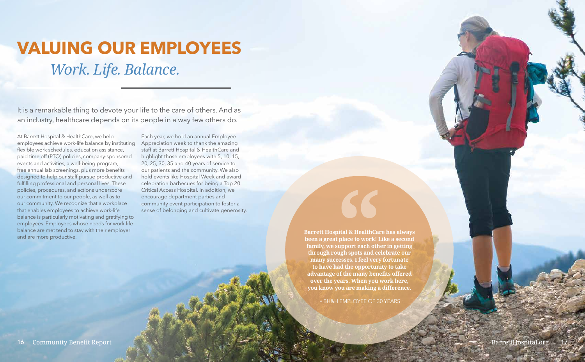At Barrett Hospital & HealthCare, we help employees achieve work-life balance by instituting flexible work schedules, education assistance, paid time off (PTO) policies, company-sponsored events and activities, a well-being program, free annual lab screenings, plus more benefits designed to help our staff pursue productive and fulfilling professional and personal lives. These policies, procedures, and actions underscore our commitment to our people, as well as to our community. We recognize that a workplace that enables employees to achieve work-life balance is particularly motivating and gratifying to employees. Employees whose needs for work-life balance are met tend to stay with their employer and are more productive.

Each year, we hold an annual Employee Appreciation week to thank the amazing staff at Barrett Hospital & HealthCare and highlight those employees with 5, 10, 15, 20, 25, 30, 35 and 40 years of service to our patients and the community. We also hold events like Hospital Week and award celebration barbecues for being a Top 20 Critical Access Hospital. In addition, we encourage department parties and community event participation to foster a sense of belonging and cultivate generosity.

> **Barrett Hospital & HealthCare has always been a great place to work! Like a second family, we support each other in getting through rough spots and celebrate our many successes. I feel very fortunate to have had the opportunity to take advantage of the many benefits offered over the years. When you work here, you know you are making a difference.**

> > – BH&H EMPLOYEE OF 30 YEARS

## **VALUING OUR EMPLOYEES** *Work. Life. Balance.*

It is a remarkable thing to devote your life to the care of others. And as an industry, healthcare depends on its people in a way few others do.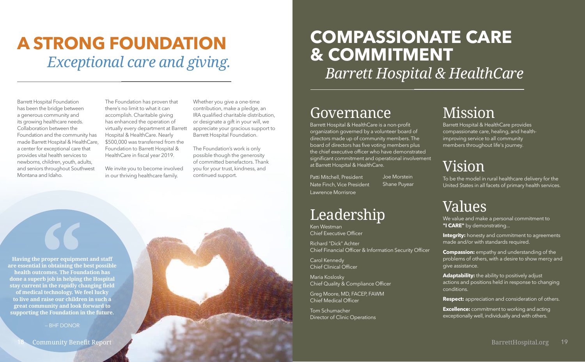**Having the proper equipment and staff are essential in obtaining the best possible health outcomes. The Foundation has done a superb job in helping the Hospital stay current in the rapidly changing field of medical technology. We feel lucky to live and raise our children in such a great community and look forward to supporting the Foundation in the future.**

We value and make a personal commitment to "I **CARE**" by demonstrating...

— BHF DONOR

### Mission

**Integrity:** honesty and commitment to agreements made and/or with standards required.

Barrett Hospital & HealthCare provides compassionate care, healing, and healthimproving service to all community members throughout life's journey.

Adaptability: the ability to positively adjust actions and positions held in response to changing conditions.

### Vision

**Excellence:** commitment to working and acting exceptionally well, individually and with others.

To be the model in rural healthcare delivery for the United States in all facets of primary health services.

### Values

**Compassion:** empathy and understanding of the problems of others, with a desire to show mercy and give assistance.

**Respect:** appreciation and consideration of others.

We invite you to become involved in our thriving healthcare family.

Barrett Hospital & HealthCare is a non-profit organization governed by a volunteer board of directors made up of community members. The board of directors has five voting members plus the chief executive officer who have demonstrated significant commitment and operational involvement at Barrett Hospital & HealthCare.

Patti Mitchell, President Nate Finch, Vice President Lawrence Morrisroe

Ken Westman Chief Executive Officer

Richard "Dick" Achter Chief Financial Officer & Information Security Officer

Carol Kennedy Chief Clinical Officer

Maria Koslosky Chief Quality & Compliance Officer

Greg Moore, MD, FACEP, FAWM Chief Medical Officer

Tom Schumacher Director of Clinic Operations Joe Morstein Shane Puyear

### **Leadership**

Barrett Hospital Foundation has been the bridge between a generous community and its growing healthcare needs. Collaboration between the Foundation and the community has made Barrett Hospital & HealthCare, a center for exceptional care that provides vital health services to newborns, children, youth, adults, and seniors throughout Southwest Montana and Idaho.

The Foundation has proven that there's no limit to what it can accomplish. Charitable giving has enhanced the operation of virtually every department at Barrett Hospital & HealthCare. Nearly \$500,000 was transferred from the Foundation to Barrett Hospital & HealthCare in fiscal year 2019.

Whether you give a one-time contribution, make a pledge, an IRA qualified charitable distribution, or designate a gift in your will, we appreciate your gracious support to Barrett Hospital Foundation.

The Foundation's work is only possible though the generosity of committed benefactors. Thank you for your trust, kindness, and continued support.

## **A STRONG FOUNDATION** *Exceptional care and giving.*

## **COMPASSIONATE CARE & COMMITMENT** *Barrett Hospital & HealthCare*

### **Governance**